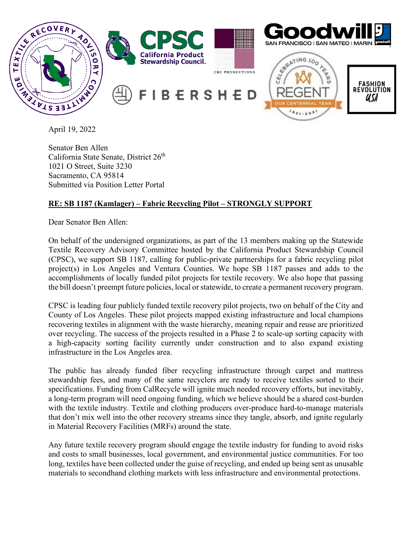

Senator Ben Allen California State Senate, District 26<sup>th</sup> 1021 O Street, Suite 3230 Sacramento, CA 95814 Submitted via Position Letter Portal

## **RE: SB 1187 (Kamlager) – Fabric Recycling Pilot – STRONGLY SUPPORT**

Dear Senator Ben Allen:

On behalf of the undersigned organizations, as part of the 13 members making up the Statewide Textile Recovery Advisory Committee hosted by the California Product Stewardship Council (CPSC), we support SB 1187, calling for public-private partnerships for a fabric recycling pilot project(s) in Los Angeles and Ventura Counties. We hope SB 1187 passes and adds to the accomplishments of locally funded pilot projects for textile recovery. We also hope that passing the bill doesn't preempt future policies, local or statewide, to create a permanent recovery program.

CPSC is leading four publicly funded textile recovery pilot projects, two on behalf of the City and County of Los Angeles. These pilot projects mapped existing infrastructure and local champions recovering textiles in alignment with the waste hierarchy, meaning repair and reuse are prioritized over recycling. The success of the projects resulted in a Phase 2 to scale-up sorting capacity with a high-capacity sorting facility currently under construction and to also expand existing infrastructure in the Los Angeles area.

The public has already funded fiber recycling infrastructure through carpet and mattress stewardship fees, and many of the same recyclers are ready to receive textiles sorted to their specifications. Funding from CalRecycle will ignite much needed recovery efforts, but inevitably, a long-term program will need ongoing funding, which we believe should be a shared cost-burden with the textile industry. Textile and clothing producers over-produce hard-to-manage materials that don't mix well into the other recovery streams since they tangle, absorb, and ignite regularly in Material Recovery Facilities (MRFs) around the state.

Any future textile recovery program should engage the textile industry for funding to avoid risks and costs to small businesses, local government, and environmental justice communities. For too long, textiles have been collected under the guise of recycling, and ended up being sent as unusable materials to secondhand clothing markets with less infrastructure and environmental protections.